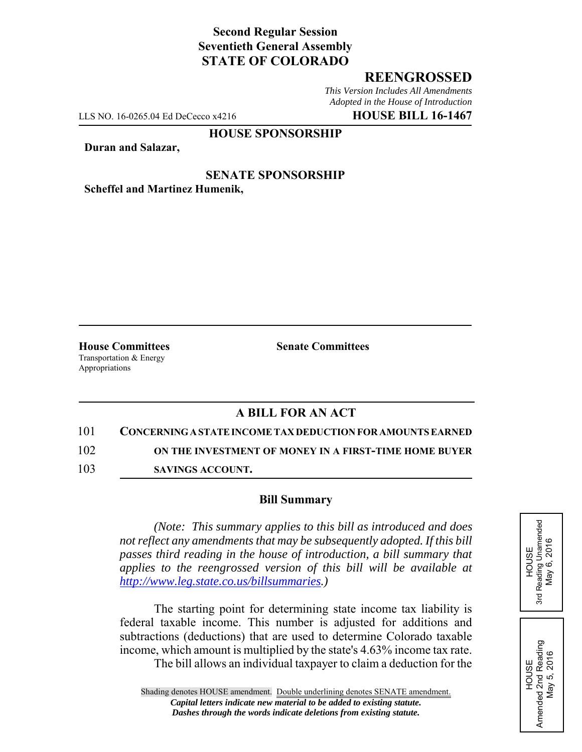# **Second Regular Session Seventieth General Assembly STATE OF COLORADO**

## **REENGROSSED**

*This Version Includes All Amendments Adopted in the House of Introduction*

LLS NO. 16-0265.04 Ed DeCecco x4216 **HOUSE BILL 16-1467**

### **HOUSE SPONSORSHIP**

**Duran and Salazar,**

**SENATE SPONSORSHIP Scheffel and Martinez Humenik,**

**House Committees Senate Committees** Transportation & Energy Appropriations

## **A BILL FOR AN ACT**

#### 101 **CONCERNING A STATE INCOME TAX DEDUCTION FOR AMOUNTS EARNED**

102 **ON THE INVESTMENT OF MONEY IN A FIRST-TIME HOME BUYER**

103 **SAVINGS ACCOUNT.**

#### **Bill Summary**

*(Note: This summary applies to this bill as introduced and does not reflect any amendments that may be subsequently adopted. If this bill passes third reading in the house of introduction, a bill summary that applies to the reengrossed version of this bill will be available at http://www.leg.state.co.us/billsummaries.)*

The starting point for determining state income tax liability is federal taxable income. This number is adjusted for additions and subtractions (deductions) that are used to determine Colorado taxable income, which amount is multiplied by the state's 4.63% income tax rate.

The bill allows an individual taxpayer to claim a deduction for the

HOUSE<br>Reading Unamended<br>May 6, 2016 3rd Reading Unamended May 6, 2016 3rd

HOUSE Amended 2nd Reading May 5, 2016

Amended 2nd Reading<br>May 5, 2016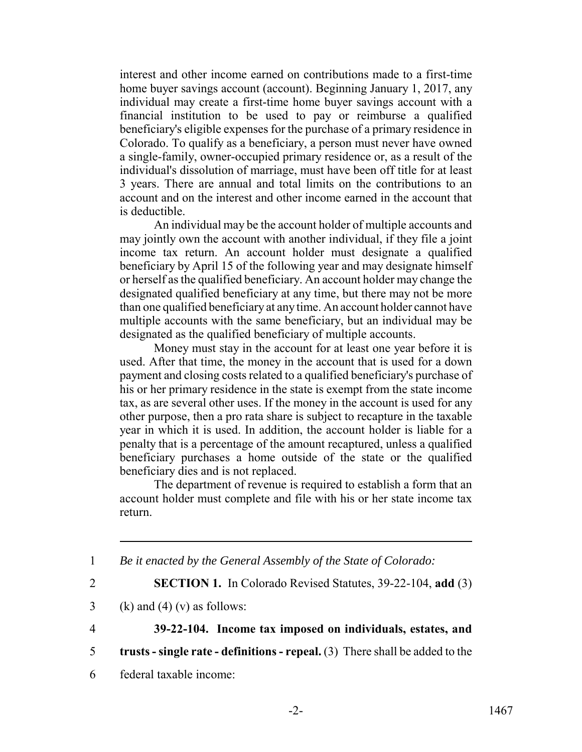interest and other income earned on contributions made to a first-time home buyer savings account (account). Beginning January 1, 2017, any individual may create a first-time home buyer savings account with a financial institution to be used to pay or reimburse a qualified beneficiary's eligible expenses for the purchase of a primary residence in Colorado. To qualify as a beneficiary, a person must never have owned a single-family, owner-occupied primary residence or, as a result of the individual's dissolution of marriage, must have been off title for at least 3 years. There are annual and total limits on the contributions to an account and on the interest and other income earned in the account that is deductible.

An individual may be the account holder of multiple accounts and may jointly own the account with another individual, if they file a joint income tax return. An account holder must designate a qualified beneficiary by April 15 of the following year and may designate himself or herself as the qualified beneficiary. An account holder may change the designated qualified beneficiary at any time, but there may not be more than one qualified beneficiary at any time. An account holder cannot have multiple accounts with the same beneficiary, but an individual may be designated as the qualified beneficiary of multiple accounts.

Money must stay in the account for at least one year before it is used. After that time, the money in the account that is used for a down payment and closing costs related to a qualified beneficiary's purchase of his or her primary residence in the state is exempt from the state income tax, as are several other uses. If the money in the account is used for any other purpose, then a pro rata share is subject to recapture in the taxable year in which it is used. In addition, the account holder is liable for a penalty that is a percentage of the amount recaptured, unless a qualified beneficiary purchases a home outside of the state or the qualified beneficiary dies and is not replaced.

The department of revenue is required to establish a form that an account holder must complete and file with his or her state income tax return.

1 *Be it enacted by the General Assembly of the State of Colorado:*

2 **SECTION 1.** In Colorado Revised Statutes, 39-22-104, **add** (3)

3 (k) and (4) (v) as follows:

4 **39-22-104. Income tax imposed on individuals, estates, and**

- 5 **trusts single rate definitions repeal.** (3) There shall be added to the
- 6 federal taxable income: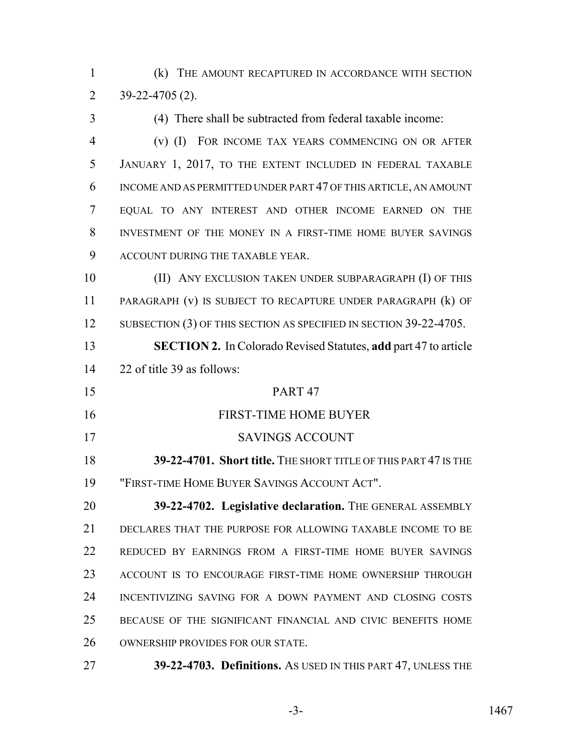(k) THE AMOUNT RECAPTURED IN ACCORDANCE WITH SECTION 39-22-4705 (2).

 (4) There shall be subtracted from federal taxable income: (v) (I) FOR INCOME TAX YEARS COMMENCING ON OR AFTER JANUARY 1, 2017, TO THE EXTENT INCLUDED IN FEDERAL TAXABLE INCOME AND AS PERMITTED UNDER PART 47 OF THIS ARTICLE, AN AMOUNT EQUAL TO ANY INTEREST AND OTHER INCOME EARNED ON THE INVESTMENT OF THE MONEY IN A FIRST-TIME HOME BUYER SAVINGS ACCOUNT DURING THE TAXABLE YEAR. (II) ANY EXCLUSION TAKEN UNDER SUBPARAGRAPH (I) OF THIS PARAGRAPH (v) IS SUBJECT TO RECAPTURE UNDER PARAGRAPH (k) OF 12 SUBSECTION (3) OF THIS SECTION AS SPECIFIED IN SECTION 39-22-4705. **SECTION 2.** In Colorado Revised Statutes, **add** part 47 to article 22 of title 39 as follows: PART 47 FIRST-TIME HOME BUYER SAVINGS ACCOUNT **39-22-4701. Short title.** THE SHORT TITLE OF THIS PART 47 IS THE "FIRST-TIME HOME BUYER SAVINGS ACCOUNT ACT". **39-22-4702. Legislative declaration.** The GENERAL ASSEMBLY DECLARES THAT THE PURPOSE FOR ALLOWING TAXABLE INCOME TO BE REDUCED BY EARNINGS FROM A FIRST-TIME HOME BUYER SAVINGS ACCOUNT IS TO ENCOURAGE FIRST-TIME HOME OWNERSHIP THROUGH INCENTIVIZING SAVING FOR A DOWN PAYMENT AND CLOSING COSTS BECAUSE OF THE SIGNIFICANT FINANCIAL AND CIVIC BENEFITS HOME OWNERSHIP PROVIDES FOR OUR STATE.

**39-22-4703. Definitions.** AS USED IN THIS PART 47, UNLESS THE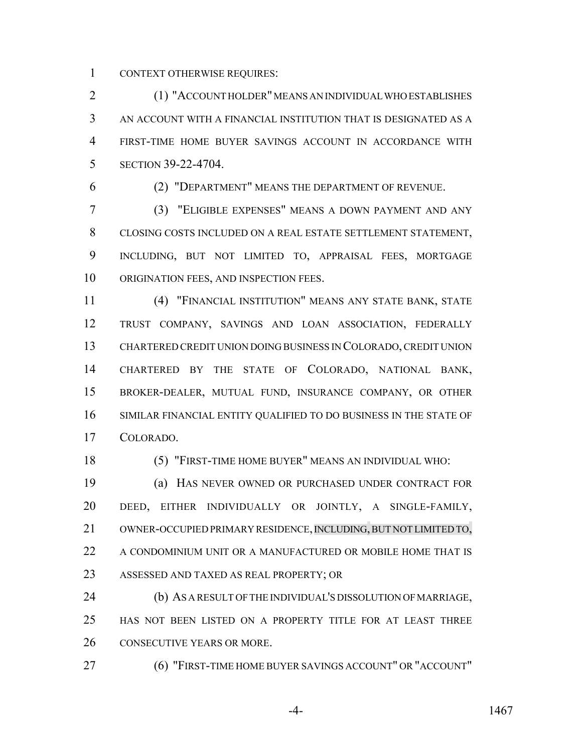CONTEXT OTHERWISE REQUIRES:

 (1) "ACCOUNT HOLDER" MEANS AN INDIVIDUAL WHO ESTABLISHES AN ACCOUNT WITH A FINANCIAL INSTITUTION THAT IS DESIGNATED AS A FIRST-TIME HOME BUYER SAVINGS ACCOUNT IN ACCORDANCE WITH SECTION 39-22-4704.

(2) "DEPARTMENT" MEANS THE DEPARTMENT OF REVENUE.

 (3) "ELIGIBLE EXPENSES" MEANS A DOWN PAYMENT AND ANY CLOSING COSTS INCLUDED ON A REAL ESTATE SETTLEMENT STATEMENT, INCLUDING, BUT NOT LIMITED TO, APPRAISAL FEES, MORTGAGE ORIGINATION FEES, AND INSPECTION FEES.

 (4) "FINANCIAL INSTITUTION" MEANS ANY STATE BANK, STATE TRUST COMPANY, SAVINGS AND LOAN ASSOCIATION, FEDERALLY CHARTERED CREDIT UNION DOING BUSINESS IN COLORADO, CREDIT UNION CHARTERED BY THE STATE OF COLORADO, NATIONAL BANK, BROKER-DEALER, MUTUAL FUND, INSURANCE COMPANY, OR OTHER SIMILAR FINANCIAL ENTITY QUALIFIED TO DO BUSINESS IN THE STATE OF COLORADO.

(5) "FIRST-TIME HOME BUYER" MEANS AN INDIVIDUAL WHO:

 (a) HAS NEVER OWNED OR PURCHASED UNDER CONTRACT FOR DEED, EITHER INDIVIDUALLY OR JOINTLY, A SINGLE-FAMILY, 21 OWNER-OCCUPIED PRIMARY RESIDENCE, INCLUDING, BUT NOT LIMITED TO, 22 A CONDOMINIUM UNIT OR A MANUFACTURED OR MOBILE HOME THAT IS ASSESSED AND TAXED AS REAL PROPERTY; OR

 (b) AS A RESULT OF THE INDIVIDUAL'S DISSOLUTION OF MARRIAGE, HAS NOT BEEN LISTED ON A PROPERTY TITLE FOR AT LEAST THREE CONSECUTIVE YEARS OR MORE.

(6) "FIRST-TIME HOME BUYER SAVINGS ACCOUNT" OR "ACCOUNT"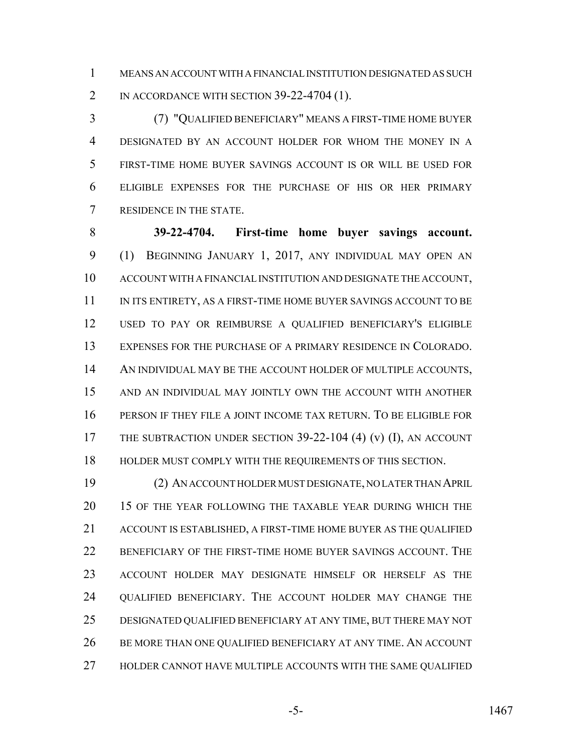MEANS AN ACCOUNT WITH A FINANCIAL INSTITUTION DESIGNATED AS SUCH 2 IN ACCORDANCE WITH SECTION 39-22-4704 (1).

 (7) "QUALIFIED BENEFICIARY" MEANS A FIRST-TIME HOME BUYER DESIGNATED BY AN ACCOUNT HOLDER FOR WHOM THE MONEY IN A FIRST-TIME HOME BUYER SAVINGS ACCOUNT IS OR WILL BE USED FOR ELIGIBLE EXPENSES FOR THE PURCHASE OF HIS OR HER PRIMARY RESIDENCE IN THE STATE.

 **39-22-4704. First-time home buyer savings account.** (1) BEGINNING JANUARY 1, 2017, ANY INDIVIDUAL MAY OPEN AN ACCOUNT WITH A FINANCIAL INSTITUTION AND DESIGNATE THE ACCOUNT, 11 IN ITS ENTIRETY, AS A FIRST-TIME HOME BUYER SAVINGS ACCOUNT TO BE USED TO PAY OR REIMBURSE A QUALIFIED BENEFICIARY'S ELIGIBLE EXPENSES FOR THE PURCHASE OF A PRIMARY RESIDENCE IN COLORADO. 14 AN INDIVIDUAL MAY BE THE ACCOUNT HOLDER OF MULTIPLE ACCOUNTS, AND AN INDIVIDUAL MAY JOINTLY OWN THE ACCOUNT WITH ANOTHER PERSON IF THEY FILE A JOINT INCOME TAX RETURN. TO BE ELIGIBLE FOR THE SUBTRACTION UNDER SECTION 39-22-104 (4) (v) (I), AN ACCOUNT HOLDER MUST COMPLY WITH THE REQUIREMENTS OF THIS SECTION.

 (2) AN ACCOUNT HOLDER MUST DESIGNATE, NO LATER THAN APRIL 15 OF THE YEAR FOLLOWING THE TAXABLE YEAR DURING WHICH THE ACCOUNT IS ESTABLISHED, A FIRST-TIME HOME BUYER AS THE QUALIFIED BENEFICIARY OF THE FIRST-TIME HOME BUYER SAVINGS ACCOUNT. THE ACCOUNT HOLDER MAY DESIGNATE HIMSELF OR HERSELF AS THE QUALIFIED BENEFICIARY. THE ACCOUNT HOLDER MAY CHANGE THE DESIGNATED QUALIFIED BENEFICIARY AT ANY TIME, BUT THERE MAY NOT BE MORE THAN ONE QUALIFIED BENEFICIARY AT ANY TIME. AN ACCOUNT HOLDER CANNOT HAVE MULTIPLE ACCOUNTS WITH THE SAME QUALIFIED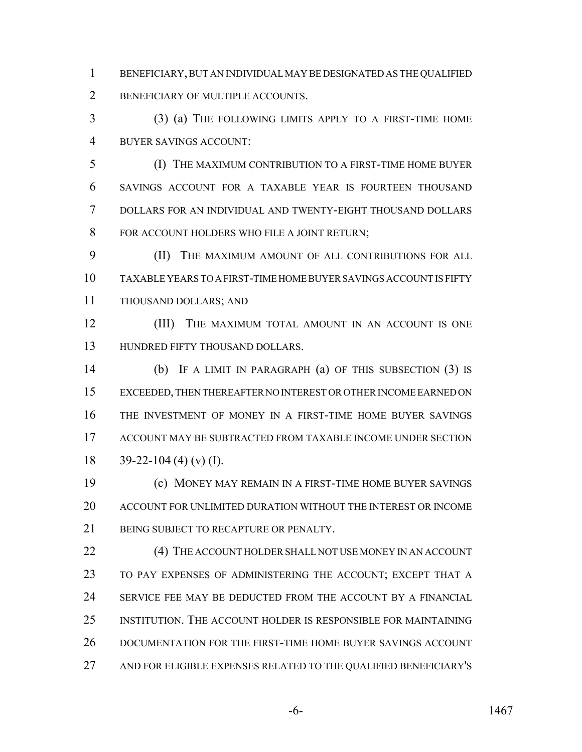BENEFICIARY, BUT AN INDIVIDUAL MAY BE DESIGNATED AS THE QUALIFIED BENEFICIARY OF MULTIPLE ACCOUNTS.

 (3) (a) THE FOLLOWING LIMITS APPLY TO A FIRST-TIME HOME BUYER SAVINGS ACCOUNT:

 (I) THE MAXIMUM CONTRIBUTION TO A FIRST-TIME HOME BUYER SAVINGS ACCOUNT FOR A TAXABLE YEAR IS FOURTEEN THOUSAND DOLLARS FOR AN INDIVIDUAL AND TWENTY-EIGHT THOUSAND DOLLARS FOR ACCOUNT HOLDERS WHO FILE A JOINT RETURN;

 (II) THE MAXIMUM AMOUNT OF ALL CONTRIBUTIONS FOR ALL TAXABLE YEARS TO A FIRST-TIME HOME BUYER SAVINGS ACCOUNT IS FIFTY THOUSAND DOLLARS; AND

**(III)** THE MAXIMUM TOTAL AMOUNT IN AN ACCOUNT IS ONE HUNDRED FIFTY THOUSAND DOLLARS.

 (b) IF A LIMIT IN PARAGRAPH (a) OF THIS SUBSECTION (3) IS EXCEEDED, THEN THEREAFTER NO INTEREST OR OTHER INCOME EARNED ON THE INVESTMENT OF MONEY IN A FIRST-TIME HOME BUYER SAVINGS ACCOUNT MAY BE SUBTRACTED FROM TAXABLE INCOME UNDER SECTION  $39-22-104$  (4) (v) (I).

 (c) MONEY MAY REMAIN IN A FIRST-TIME HOME BUYER SAVINGS ACCOUNT FOR UNLIMITED DURATION WITHOUT THE INTEREST OR INCOME 21 BEING SUBJECT TO RECAPTURE OR PENALTY.

22 (4) THE ACCOUNT HOLDER SHALL NOT USE MONEY IN AN ACCOUNT TO PAY EXPENSES OF ADMINISTERING THE ACCOUNT; EXCEPT THAT A SERVICE FEE MAY BE DEDUCTED FROM THE ACCOUNT BY A FINANCIAL INSTITUTION. THE ACCOUNT HOLDER IS RESPONSIBLE FOR MAINTAINING DOCUMENTATION FOR THE FIRST-TIME HOME BUYER SAVINGS ACCOUNT AND FOR ELIGIBLE EXPENSES RELATED TO THE QUALIFIED BENEFICIARY'S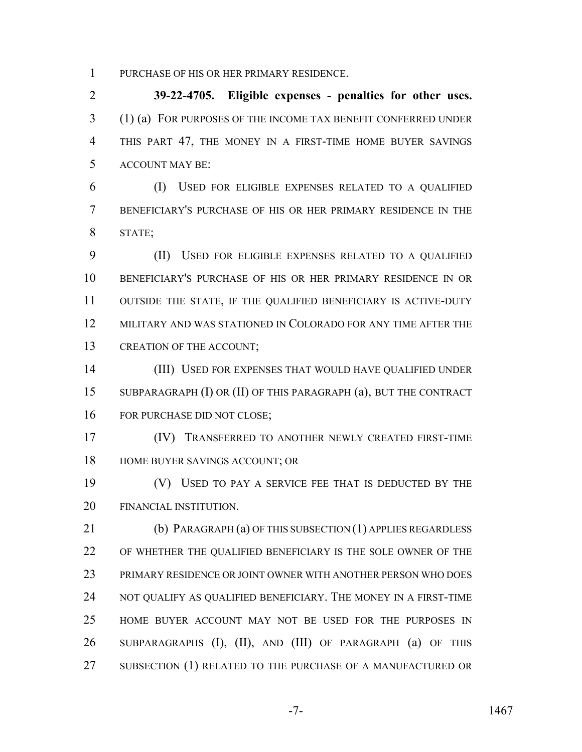PURCHASE OF HIS OR HER PRIMARY RESIDENCE.

 **39-22-4705. Eligible expenses - penalties for other uses.** (1) (a) FOR PURPOSES OF THE INCOME TAX BENEFIT CONFERRED UNDER THIS PART 47, THE MONEY IN A FIRST-TIME HOME BUYER SAVINGS ACCOUNT MAY BE:

 (I) USED FOR ELIGIBLE EXPENSES RELATED TO A QUALIFIED BENEFICIARY'S PURCHASE OF HIS OR HER PRIMARY RESIDENCE IN THE STATE;

 (II) USED FOR ELIGIBLE EXPENSES RELATED TO A QUALIFIED BENEFICIARY'S PURCHASE OF HIS OR HER PRIMARY RESIDENCE IN OR OUTSIDE THE STATE, IF THE QUALIFIED BENEFICIARY IS ACTIVE-DUTY MILITARY AND WAS STATIONED IN COLORADO FOR ANY TIME AFTER THE 13 CREATION OF THE ACCOUNT;

 (III) USED FOR EXPENSES THAT WOULD HAVE QUALIFIED UNDER SUBPARAGRAPH (I) OR (II) OF THIS PARAGRAPH (a), BUT THE CONTRACT 16 FOR PURCHASE DID NOT CLOSE;

 (IV) TRANSFERRED TO ANOTHER NEWLY CREATED FIRST-TIME 18 HOME BUYER SAVINGS ACCOUNT; OR

 (V) USED TO PAY A SERVICE FEE THAT IS DEDUCTED BY THE FINANCIAL INSTITUTION.

 (b) PARAGRAPH (a) OF THIS SUBSECTION (1) APPLIES REGARDLESS OF WHETHER THE QUALIFIED BENEFICIARY IS THE SOLE OWNER OF THE PRIMARY RESIDENCE OR JOINT OWNER WITH ANOTHER PERSON WHO DOES NOT QUALIFY AS QUALIFIED BENEFICIARY. THE MONEY IN A FIRST-TIME HOME BUYER ACCOUNT MAY NOT BE USED FOR THE PURPOSES IN SUBPARAGRAPHS (I), (II), AND (III) OF PARAGRAPH (a) OF THIS 27 SUBSECTION (1) RELATED TO THE PURCHASE OF A MANUFACTURED OR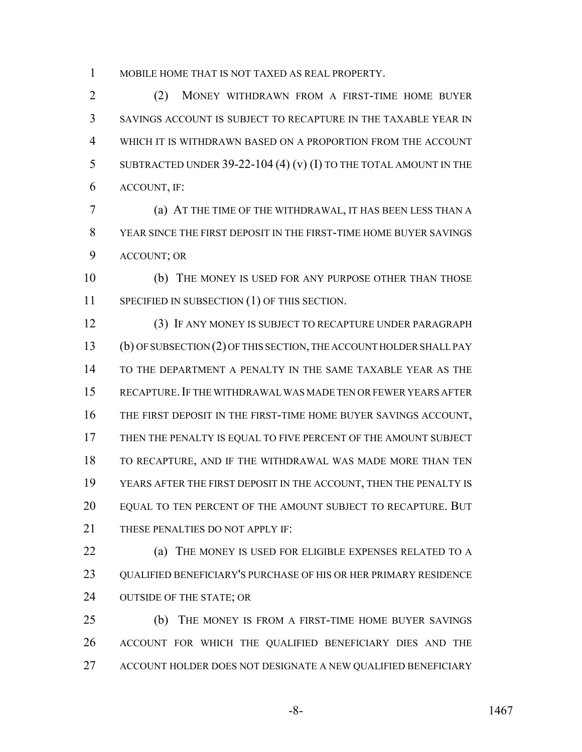MOBILE HOME THAT IS NOT TAXED AS REAL PROPERTY.

 (2) MONEY WITHDRAWN FROM A FIRST-TIME HOME BUYER SAVINGS ACCOUNT IS SUBJECT TO RECAPTURE IN THE TAXABLE YEAR IN WHICH IT IS WITHDRAWN BASED ON A PROPORTION FROM THE ACCOUNT 5 SUBTRACTED UNDER 39-22-104 (4) (v) (I) TO THE TOTAL AMOUNT IN THE ACCOUNT, IF:

 (a) AT THE TIME OF THE WITHDRAWAL, IT HAS BEEN LESS THAN A YEAR SINCE THE FIRST DEPOSIT IN THE FIRST-TIME HOME BUYER SAVINGS ACCOUNT; OR

 (b) THE MONEY IS USED FOR ANY PURPOSE OTHER THAN THOSE SPECIFIED IN SUBSECTION (1) OF THIS SECTION.

 (3) IF ANY MONEY IS SUBJECT TO RECAPTURE UNDER PARAGRAPH (b) OF SUBSECTION (2) OF THIS SECTION, THE ACCOUNT HOLDER SHALL PAY TO THE DEPARTMENT A PENALTY IN THE SAME TAXABLE YEAR AS THE RECAPTURE.IF THE WITHDRAWAL WAS MADE TEN OR FEWER YEARS AFTER THE FIRST DEPOSIT IN THE FIRST-TIME HOME BUYER SAVINGS ACCOUNT, THEN THE PENALTY IS EQUAL TO FIVE PERCENT OF THE AMOUNT SUBJECT TO RECAPTURE, AND IF THE WITHDRAWAL WAS MADE MORE THAN TEN YEARS AFTER THE FIRST DEPOSIT IN THE ACCOUNT, THEN THE PENALTY IS EQUAL TO TEN PERCENT OF THE AMOUNT SUBJECT TO RECAPTURE. BUT 21 THESE PENALTIES DO NOT APPLY IF:

 (a) THE MONEY IS USED FOR ELIGIBLE EXPENSES RELATED TO A QUALIFIED BENEFICIARY'S PURCHASE OF HIS OR HER PRIMARY RESIDENCE OUTSIDE OF THE STATE; OR

 (b) THE MONEY IS FROM A FIRST-TIME HOME BUYER SAVINGS ACCOUNT FOR WHICH THE QUALIFIED BENEFICIARY DIES AND THE ACCOUNT HOLDER DOES NOT DESIGNATE A NEW QUALIFIED BENEFICIARY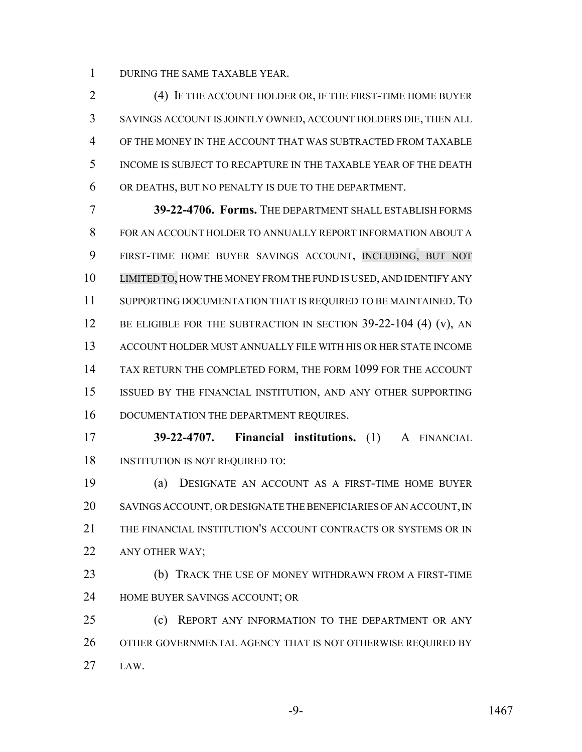DURING THE SAME TAXABLE YEAR.

 (4) IF THE ACCOUNT HOLDER OR, IF THE FIRST-TIME HOME BUYER SAVINGS ACCOUNT IS JOINTLY OWNED, ACCOUNT HOLDERS DIE, THEN ALL OF THE MONEY IN THE ACCOUNT THAT WAS SUBTRACTED FROM TAXABLE INCOME IS SUBJECT TO RECAPTURE IN THE TAXABLE YEAR OF THE DEATH OR DEATHS, BUT NO PENALTY IS DUE TO THE DEPARTMENT.

 **39-22-4706. Forms.** THE DEPARTMENT SHALL ESTABLISH FORMS FOR AN ACCOUNT HOLDER TO ANNUALLY REPORT INFORMATION ABOUT A FIRST-TIME HOME BUYER SAVINGS ACCOUNT, INCLUDING, BUT NOT LIMITED TO, HOW THE MONEY FROM THE FUND IS USED, AND IDENTIFY ANY SUPPORTING DOCUMENTATION THAT IS REQUIRED TO BE MAINTAINED. TO 12 BE ELIGIBLE FOR THE SUBTRACTION IN SECTION 39-22-104 (4) (v), AN ACCOUNT HOLDER MUST ANNUALLY FILE WITH HIS OR HER STATE INCOME TAX RETURN THE COMPLETED FORM, THE FORM 1099 FOR THE ACCOUNT ISSUED BY THE FINANCIAL INSTITUTION, AND ANY OTHER SUPPORTING 16 DOCUMENTATION THE DEPARTMENT REQUIRES.

 **39-22-4707. Financial institutions.** (1) A FINANCIAL 18 INSTITUTION IS NOT REQUIRED TO:

 (a) DESIGNATE AN ACCOUNT AS A FIRST-TIME HOME BUYER SAVINGS ACCOUNT, OR DESIGNATE THE BENEFICIARIES OF AN ACCOUNT, IN THE FINANCIAL INSTITUTION'S ACCOUNT CONTRACTS OR SYSTEMS OR IN 22 ANY OTHER WAY:

 (b) TRACK THE USE OF MONEY WITHDRAWN FROM A FIRST-TIME HOME BUYER SAVINGS ACCOUNT; OR

 (c) REPORT ANY INFORMATION TO THE DEPARTMENT OR ANY 26 OTHER GOVERNMENTAL AGENCY THAT IS NOT OTHERWISE REQUIRED BY LAW.